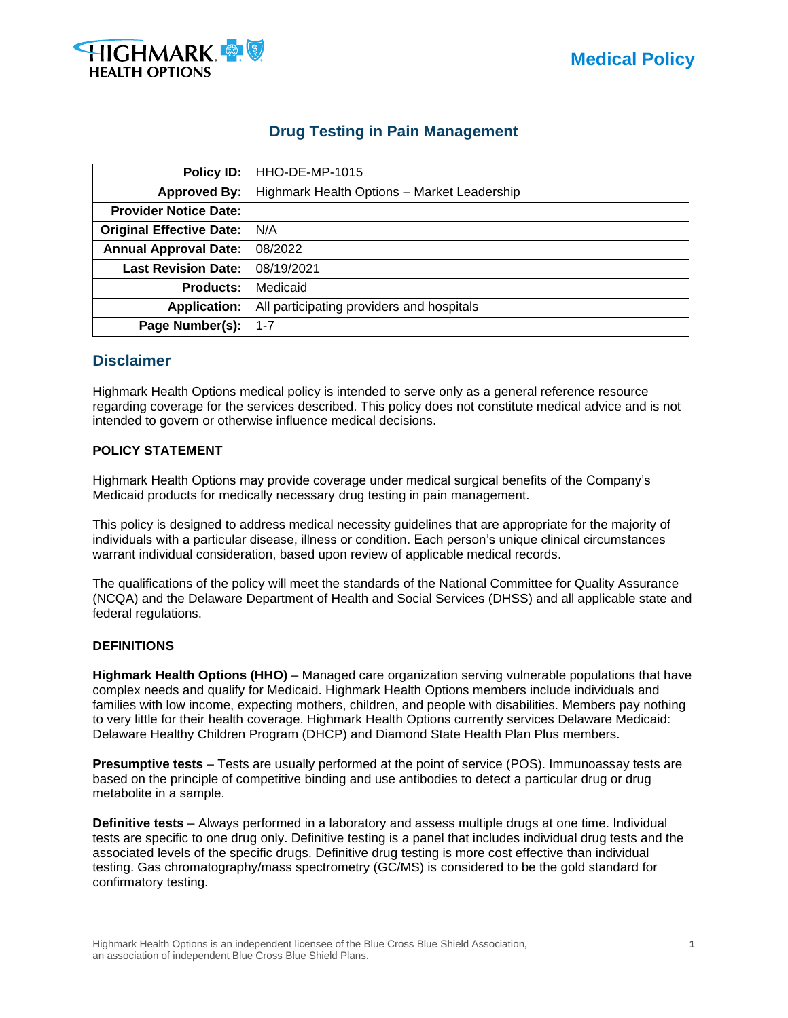

# **Drug Testing in Pain Management**

| Policy ID:                      | <b>HHO-DE-MP-1015</b>                       |  |  |  |  |
|---------------------------------|---------------------------------------------|--|--|--|--|
| <b>Approved By:</b>             | Highmark Health Options - Market Leadership |  |  |  |  |
| <b>Provider Notice Date:</b>    |                                             |  |  |  |  |
| <b>Original Effective Date:</b> | N/A                                         |  |  |  |  |
| <b>Annual Approval Date:</b>    | 08/2022                                     |  |  |  |  |
| <b>Last Revision Date:</b>      | 08/19/2021                                  |  |  |  |  |
| <b>Products:</b>                | Medicaid                                    |  |  |  |  |
| <b>Application:</b>             | All participating providers and hospitals   |  |  |  |  |
| Page Number(s):                 | $1 - 7$                                     |  |  |  |  |

## **Disclaimer**

Highmark Health Options medical policy is intended to serve only as a general reference resource regarding coverage for the services described. This policy does not constitute medical advice and is not intended to govern or otherwise influence medical decisions.

## **POLICY STATEMENT**

Highmark Health Options may provide coverage under medical surgical benefits of the Company's Medicaid products for medically necessary drug testing in pain management.

This policy is designed to address medical necessity guidelines that are appropriate for the majority of individuals with a particular disease, illness or condition. Each person's unique clinical circumstances warrant individual consideration, based upon review of applicable medical records.

The qualifications of the policy will meet the standards of the National Committee for Quality Assurance (NCQA) and the Delaware Department of Health and Social Services (DHSS) and all applicable state and federal regulations.

## **DEFINITIONS**

**Highmark Health Options (HHO)** – Managed care organization serving vulnerable populations that have complex needs and qualify for Medicaid. Highmark Health Options members include individuals and families with low income, expecting mothers, children, and people with disabilities. Members pay nothing to very little for their health coverage. Highmark Health Options currently services Delaware Medicaid: Delaware Healthy Children Program (DHCP) and Diamond State Health Plan Plus members.

**Presumptive tests** – Tests are usually performed at the point of service (POS). Immunoassay tests are based on the principle of competitive binding and use antibodies to detect a particular drug or drug metabolite in a sample.

**Definitive tests** – Always performed in a laboratory and assess multiple drugs at one time. Individual tests are specific to one drug only. Definitive testing is a panel that includes individual drug tests and the associated levels of the specific drugs. Definitive drug testing is more cost effective than individual testing. Gas chromatography/mass spectrometry (GC/MS) is considered to be the gold standard for confirmatory testing.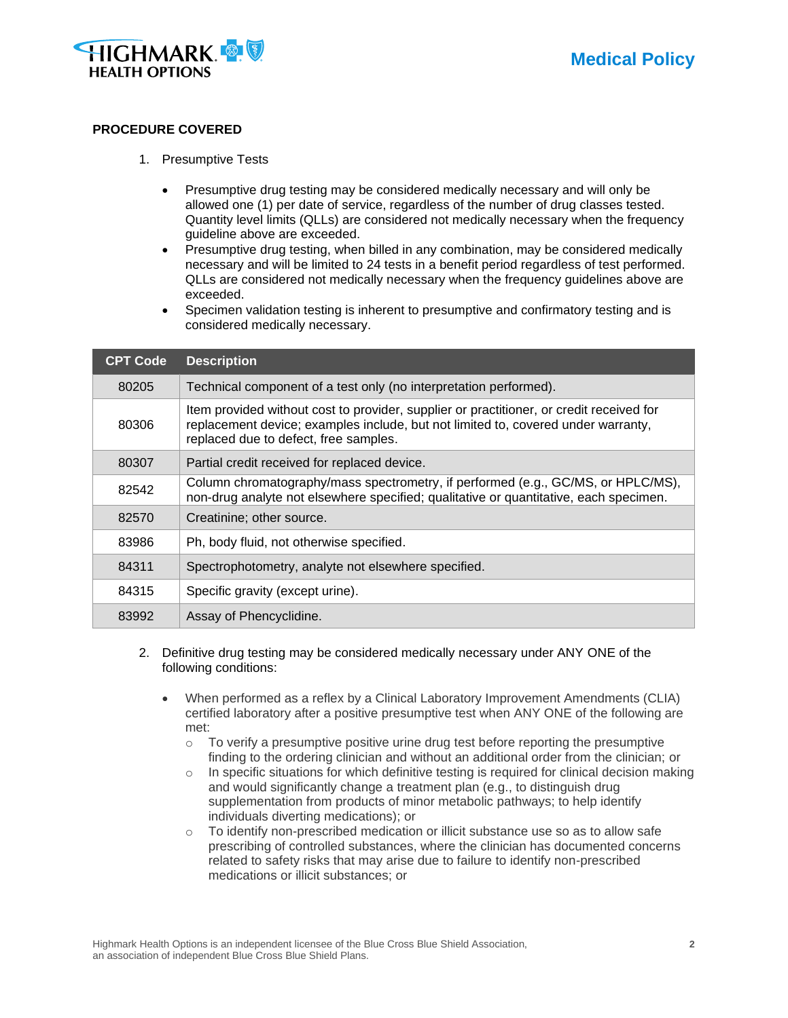

#### **PROCEDURE COVERED**

- 1. Presumptive Tests
	- Presumptive drug testing may be considered medically necessary and will only be allowed one (1) per date of service, regardless of the number of drug classes tested. Quantity level limits (QLLs) are considered not medically necessary when the frequency guideline above are exceeded.
	- Presumptive drug testing, when billed in any combination, may be considered medically necessary and will be limited to 24 tests in a benefit period regardless of test performed. QLLs are considered not medically necessary when the frequency guidelines above are exceeded.
	- Specimen validation testing is inherent to presumptive and confirmatory testing and is considered medically necessary.

| <b>CPT Code</b> | <b>Description</b>                                                                                                                                                                                                     |  |  |
|-----------------|------------------------------------------------------------------------------------------------------------------------------------------------------------------------------------------------------------------------|--|--|
| 80205           | Technical component of a test only (no interpretation performed).                                                                                                                                                      |  |  |
| 80306           | Item provided without cost to provider, supplier or practitioner, or credit received for<br>replacement device; examples include, but not limited to, covered under warranty,<br>replaced due to defect, free samples. |  |  |
| 80307           | Partial credit received for replaced device.                                                                                                                                                                           |  |  |
| 82542           | Column chromatography/mass spectrometry, if performed (e.g., GC/MS, or HPLC/MS),<br>non-drug analyte not elsewhere specified; qualitative or quantitative, each specimen.                                              |  |  |
| 82570           | Creatinine; other source.                                                                                                                                                                                              |  |  |
| 83986           | Ph, body fluid, not otherwise specified.                                                                                                                                                                               |  |  |
| 84311           | Spectrophotometry, analyte not elsewhere specified.                                                                                                                                                                    |  |  |
| 84315           | Specific gravity (except urine).                                                                                                                                                                                       |  |  |
| 83992           | Assay of Phencyclidine.                                                                                                                                                                                                |  |  |

- 2. Definitive drug testing may be considered medically necessary under ANY ONE of the following conditions:
	- When performed as a reflex by a Clinical Laboratory Improvement Amendments (CLIA) certified laboratory after a positive presumptive test when ANY ONE of the following are met:
		- $\circ$  To verify a presumptive positive urine drug test before reporting the presumptive finding to the ordering clinician and without an additional order from the clinician; or
		- $\circ$  In specific situations for which definitive testing is required for clinical decision making and would significantly change a treatment plan (e.g., to distinguish drug supplementation from products of minor metabolic pathways; to help identify individuals diverting medications); or
		- $\circ$  To identify non-prescribed medication or illicit substance use so as to allow safe prescribing of controlled substances, where the clinician has documented concerns related to safety risks that may arise due to failure to identify non-prescribed medications or illicit substances; or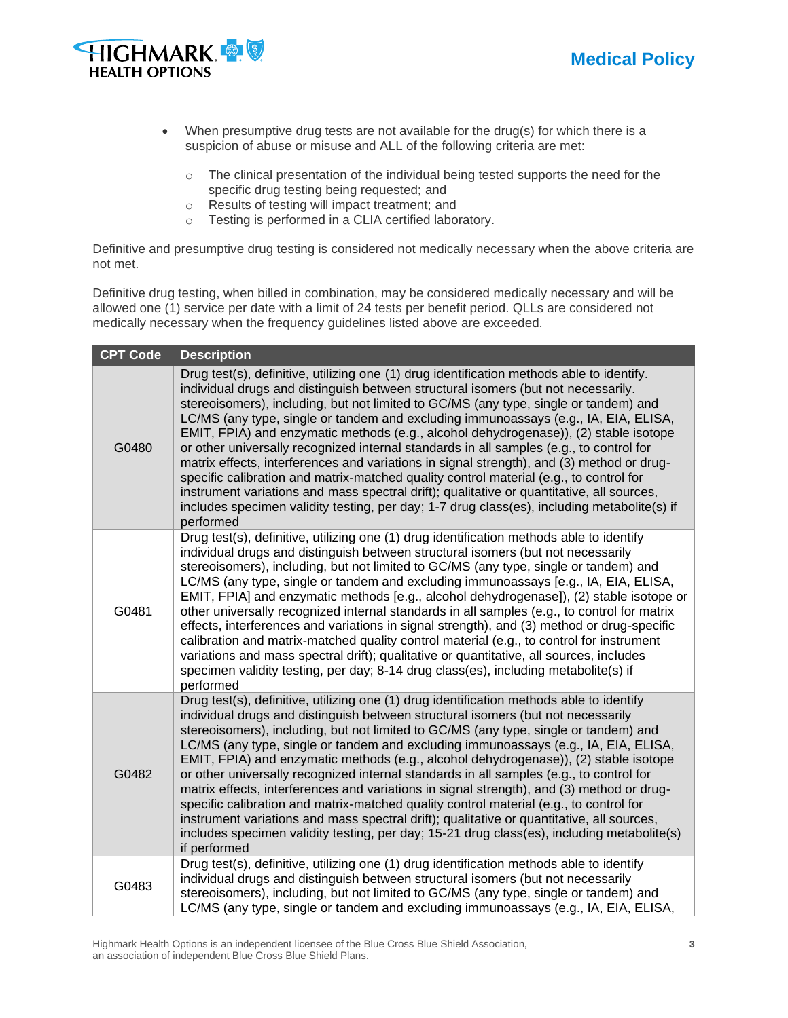

- When presumptive drug tests are not available for the drug(s) for which there is a suspicion of abuse or misuse and ALL of the following criteria are met:
	- o The clinical presentation of the individual being tested supports the need for the specific drug testing being requested; and
	- o Results of testing will impact treatment; and
	- o Testing is performed in a CLIA certified laboratory.

Definitive and presumptive drug testing is considered not medically necessary when the above criteria are not met.

Definitive drug testing, when billed in combination, may be considered medically necessary and will be allowed one (1) service per date with a limit of 24 tests per benefit period. QLLs are considered not medically necessary when the frequency guidelines listed above are exceeded.

| <b>CPT Code</b> | <b>Description</b>                                                                                                                                                                                                                                                                                                                                                                                                                                                                                                                                                                                                                                                                                                                                                                                                                                                                                                                               |
|-----------------|--------------------------------------------------------------------------------------------------------------------------------------------------------------------------------------------------------------------------------------------------------------------------------------------------------------------------------------------------------------------------------------------------------------------------------------------------------------------------------------------------------------------------------------------------------------------------------------------------------------------------------------------------------------------------------------------------------------------------------------------------------------------------------------------------------------------------------------------------------------------------------------------------------------------------------------------------|
| G0480           | Drug test(s), definitive, utilizing one (1) drug identification methods able to identify.<br>individual drugs and distinguish between structural isomers (but not necessarily.<br>stereoisomers), including, but not limited to GC/MS (any type, single or tandem) and<br>LC/MS (any type, single or tandem and excluding immunoassays (e.g., IA, EIA, ELISA,<br>EMIT, FPIA) and enzymatic methods (e.g., alcohol dehydrogenase)), (2) stable isotope<br>or other universally recognized internal standards in all samples (e.g., to control for<br>matrix effects, interferences and variations in signal strength), and (3) method or drug-<br>specific calibration and matrix-matched quality control material (e.g., to control for<br>instrument variations and mass spectral drift); qualitative or quantitative, all sources,<br>includes specimen validity testing, per day; 1-7 drug class(es), including metabolite(s) if<br>performed |
| G0481           | Drug test(s), definitive, utilizing one (1) drug identification methods able to identify<br>individual drugs and distinguish between structural isomers (but not necessarily<br>stereoisomers), including, but not limited to GC/MS (any type, single or tandem) and<br>LC/MS (any type, single or tandem and excluding immunoassays [e.g., IA, EIA, ELISA,<br>EMIT, FPIA] and enzymatic methods [e.g., alcohol dehydrogenase]), (2) stable isotope or<br>other universally recognized internal standards in all samples (e.g., to control for matrix<br>effects, interferences and variations in signal strength), and (3) method or drug-specific<br>calibration and matrix-matched quality control material (e.g., to control for instrument<br>variations and mass spectral drift); qualitative or quantitative, all sources, includes<br>specimen validity testing, per day; 8-14 drug class(es), including metabolite(s) if<br>performed   |
| G0482           | Drug test(s), definitive, utilizing one (1) drug identification methods able to identify<br>individual drugs and distinguish between structural isomers (but not necessarily<br>stereoisomers), including, but not limited to GC/MS (any type, single or tandem) and<br>LC/MS (any type, single or tandem and excluding immunoassays (e.g., IA, EIA, ELISA,<br>EMIT, FPIA) and enzymatic methods (e.g., alcohol dehydrogenase)), (2) stable isotope<br>or other universally recognized internal standards in all samples (e.g., to control for<br>matrix effects, interferences and variations in signal strength), and (3) method or drug-<br>specific calibration and matrix-matched quality control material (e.g., to control for<br>instrument variations and mass spectral drift); qualitative or quantitative, all sources,<br>includes specimen validity testing, per day; 15-21 drug class(es), including metabolite(s)<br>if performed |
| G0483           | Drug test(s), definitive, utilizing one (1) drug identification methods able to identify<br>individual drugs and distinguish between structural isomers (but not necessarily<br>stereoisomers), including, but not limited to GC/MS (any type, single or tandem) and<br>LC/MS (any type, single or tandem and excluding immunoassays (e.g., IA, EIA, ELISA,                                                                                                                                                                                                                                                                                                                                                                                                                                                                                                                                                                                      |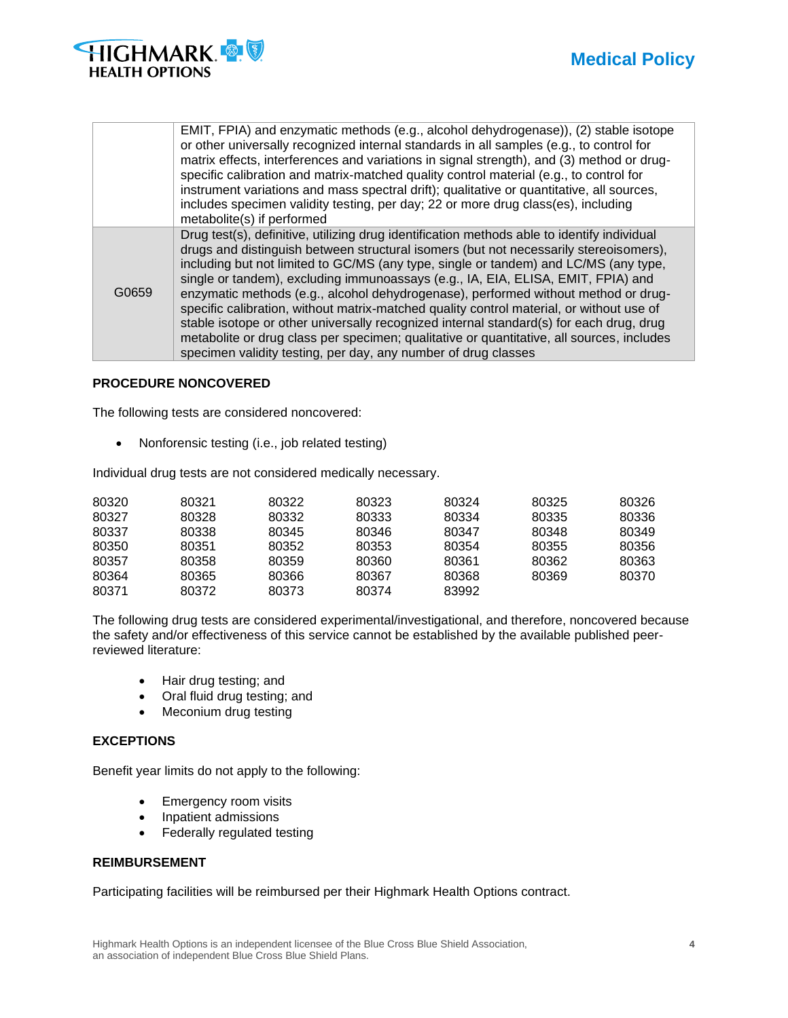

|       | EMIT, FPIA) and enzymatic methods (e.g., alcohol dehydrogenase)), (2) stable isotope<br>or other universally recognized internal standards in all samples (e.g., to control for<br>matrix effects, interferences and variations in signal strength), and (3) method or drug-<br>specific calibration and matrix-matched quality control material (e.g., to control for<br>instrument variations and mass spectral drift); qualitative or quantitative, all sources,<br>includes specimen validity testing, per day; 22 or more drug class(es), including<br>metabolite(s) if performed                                                                                                                                                                                                                       |
|-------|--------------------------------------------------------------------------------------------------------------------------------------------------------------------------------------------------------------------------------------------------------------------------------------------------------------------------------------------------------------------------------------------------------------------------------------------------------------------------------------------------------------------------------------------------------------------------------------------------------------------------------------------------------------------------------------------------------------------------------------------------------------------------------------------------------------|
| G0659 | Drug test(s), definitive, utilizing drug identification methods able to identify individual<br>drugs and distinguish between structural isomers (but not necessarily stereoisomers),<br>including but not limited to GC/MS (any type, single or tandem) and LC/MS (any type,<br>single or tandem), excluding immunoassays (e.g., IA, EIA, ELISA, EMIT, FPIA) and<br>enzymatic methods (e.g., alcohol dehydrogenase), performed without method or drug-<br>specific calibration, without matrix-matched quality control material, or without use of<br>stable isotope or other universally recognized internal standard(s) for each drug, drug<br>metabolite or drug class per specimen; qualitative or quantitative, all sources, includes<br>specimen validity testing, per day, any number of drug classes |

## **PROCEDURE NONCOVERED**

The following tests are considered noncovered:

• Nonforensic testing (i.e., job related testing)

Individual drug tests are not considered medically necessary.

| 80320 | 80321 | 80322 | 80323 | 80324 | 80325 | 80326 |
|-------|-------|-------|-------|-------|-------|-------|
| 80327 | 80328 | 80332 | 80333 | 80334 | 80335 | 80336 |
| 80337 | 80338 | 80345 | 80346 | 80347 | 80348 | 80349 |
| 80350 | 80351 | 80352 | 80353 | 80354 | 80355 | 80356 |
| 80357 | 80358 | 80359 | 80360 | 80361 | 80362 | 80363 |
| 80364 | 80365 | 80366 | 80367 | 80368 | 80369 | 80370 |
| 80371 | 80372 | 80373 | 80374 | 83992 |       |       |

The following drug tests are considered experimental/investigational, and therefore, noncovered because the safety and/or effectiveness of this service cannot be established by the available published peerreviewed literature:

- Hair drug testing; and
- Oral fluid drug testing; and
- Meconium drug testing

## **EXCEPTIONS**

Benefit year limits do not apply to the following:

- Emergency room visits
- Inpatient admissions
- Federally regulated testing

## **REIMBURSEMENT**

Participating facilities will be reimbursed per their Highmark Health Options contract.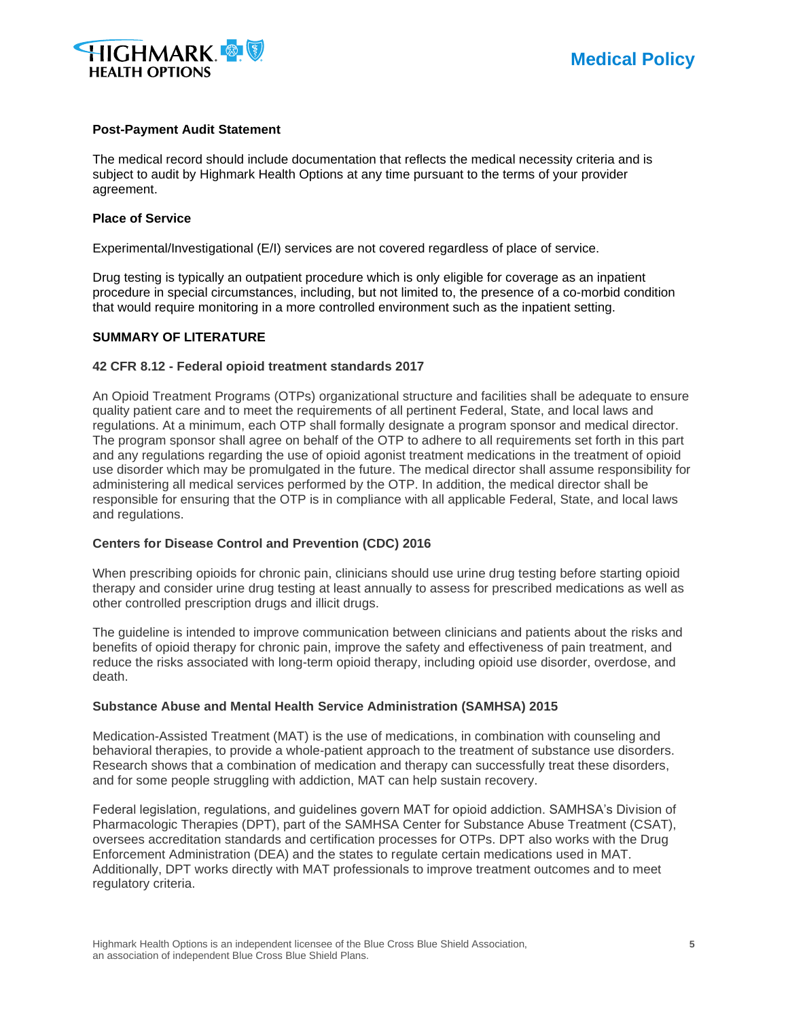

#### **Post-Payment Audit Statement**

The medical record should include documentation that reflects the medical necessity criteria and is subject to audit by Highmark Health Options at any time pursuant to the terms of your provider agreement.

#### **Place of Service**

Experimental/Investigational (E/I) services are not covered regardless of place of service.

Drug testing is typically an outpatient procedure which is only eligible for coverage as an inpatient procedure in special circumstances, including, but not limited to, the presence of a co-morbid condition that would require monitoring in a more controlled environment such as the inpatient setting.

#### **SUMMARY OF LITERATURE**

#### **42 CFR 8.12 - Federal opioid treatment standards 2017**

An Opioid Treatment Programs (OTPs) organizational structure and facilities shall be adequate to ensure quality patient care and to meet the requirements of all pertinent Federal, State, and local laws and regulations. At a minimum, each OTP shall formally designate a program sponsor and medical director. The program sponsor shall agree on behalf of the OTP to adhere to all requirements set forth in this part and any regulations regarding the use of opioid agonist treatment medications in the treatment of opioid use disorder which may be promulgated in the future. The medical director shall assume responsibility for administering all medical services performed by the OTP. In addition, the medical director shall be responsible for ensuring that the OTP is in compliance with all applicable Federal, State, and local laws and regulations.

## **Centers for Disease Control and Prevention (CDC) 2016**

When prescribing opioids for chronic pain, clinicians should use urine drug testing before starting opioid therapy and consider urine drug testing at least annually to assess for prescribed medications as well as other controlled prescription drugs and illicit drugs.

The guideline is intended to improve communication between clinicians and patients about the risks and benefits of opioid therapy for chronic pain, improve the safety and effectiveness of pain treatment, and reduce the risks associated with long-term opioid therapy, including opioid use disorder, overdose, and death.

#### **Substance Abuse and Mental Health Service Administration (SAMHSA) 2015**

Medication-Assisted Treatment (MAT) is the use of medications, in combination with counseling and behavioral therapies, to provide a whole-patient approach to the treatment of substance use disorders. Research shows that a combination of medication and therapy can successfully treat these disorders, and for some people struggling with addiction, MAT can help sustain recovery.

Federal legislation, regulations, and guidelines govern MAT for opioid addiction. SAMHSA's Division of Pharmacologic Therapies (DPT), part of the SAMHSA Center for Substance Abuse Treatment (CSAT), oversees accreditation standards and certification processes for OTPs. DPT also works with the Drug Enforcement Administration (DEA) and the states to regulate certain medications used in MAT. Additionally, DPT works directly with MAT professionals to improve treatment outcomes and to meet regulatory criteria.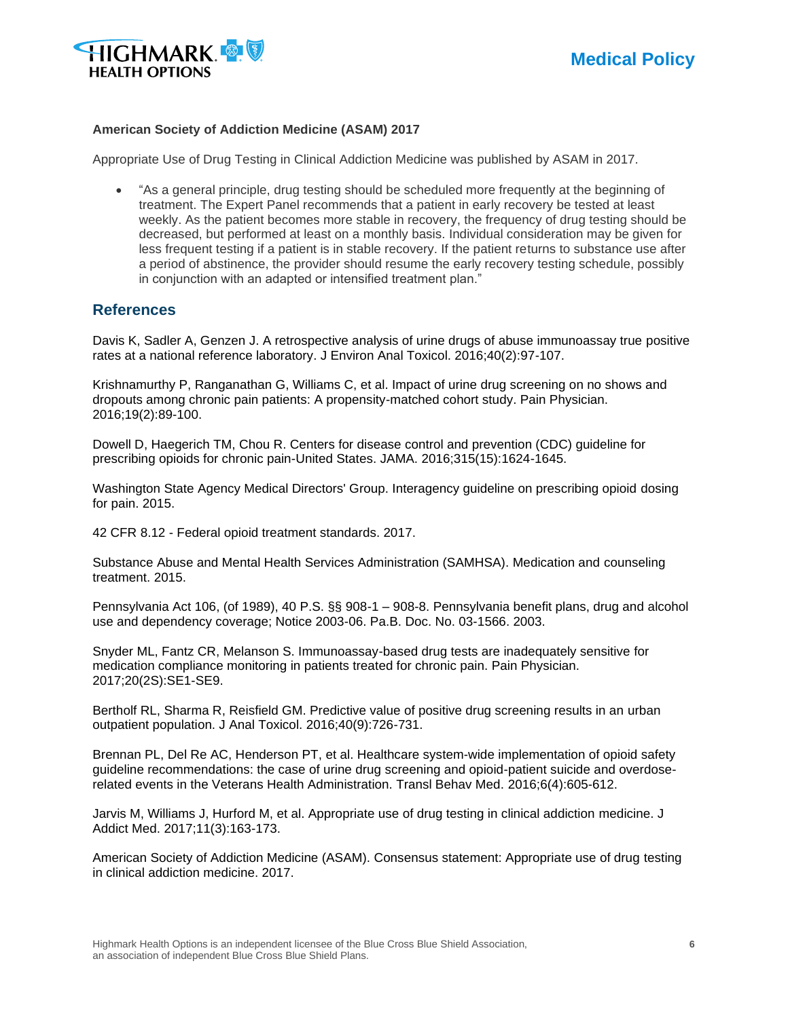

## **American Society of Addiction Medicine (ASAM) 2017**

Appropriate Use of Drug Testing in Clinical Addiction Medicine was published by ASAM in 2017.

• "As a general principle, drug testing should be scheduled more frequently at the beginning of treatment. The Expert Panel recommends that a patient in early recovery be tested at least weekly. As the patient becomes more stable in recovery, the frequency of drug testing should be decreased, but performed at least on a monthly basis. Individual consideration may be given for less frequent testing if a patient is in stable recovery. If the patient returns to substance use after a period of abstinence, the provider should resume the early recovery testing schedule, possibly in conjunction with an adapted or intensified treatment plan."

## **References**

Davis K, Sadler A, Genzen J. A retrospective analysis of urine drugs of abuse immunoassay true positive rates at a national reference laboratory. J Environ Anal Toxicol. 2016;40(2):97-107.

Krishnamurthy P, Ranganathan G, Williams C, et al. Impact of urine drug screening on no shows and dropouts among chronic pain patients: A propensity-matched cohort study. Pain Physician. 2016;19(2):89-100.

Dowell D, Haegerich TM, Chou R. Centers for disease control and prevention (CDC) guideline for prescribing opioids for chronic pain-United States. JAMA. 2016;315(15):1624-1645.

Washington State Agency Medical Directors' Group. Interagency guideline on prescribing opioid dosing for pain. 2015.

42 CFR 8.12 - Federal opioid treatment standards. 2017.

Substance Abuse and Mental Health Services Administration (SAMHSA). Medication and counseling treatment. 2015.

Pennsylvania Act 106, (of 1989), 40 P.S. §§ 908-1 – 908-8. Pennsylvania benefit plans, drug and alcohol use and dependency coverage; Notice 2003-06. Pa.B. Doc. No. 03-1566. 2003.

Snyder ML, Fantz CR, Melanson S. Immunoassay-based drug tests are inadequately sensitive for medication compliance monitoring in patients treated for chronic pain. Pain Physician. 2017;20(2S):SE1-SE9.

Bertholf RL, Sharma R, Reisfield GM. Predictive value of positive drug screening results in an urban outpatient population. J Anal Toxicol. 2016;40(9):726-731.

Brennan PL, Del Re AC, Henderson PT, et al. Healthcare system-wide implementation of opioid safety guideline recommendations: the case of urine drug screening and opioid-patient suicide and overdoserelated events in the Veterans Health Administration. Transl Behav Med. 2016;6(4):605-612.

Jarvis M, Williams J, Hurford M, et al. Appropriate use of drug testing in clinical addiction medicine. J Addict Med. 2017;11(3):163-173.

American Society of Addiction Medicine (ASAM). Consensus statement: Appropriate use of drug testing in clinical addiction medicine. 2017.